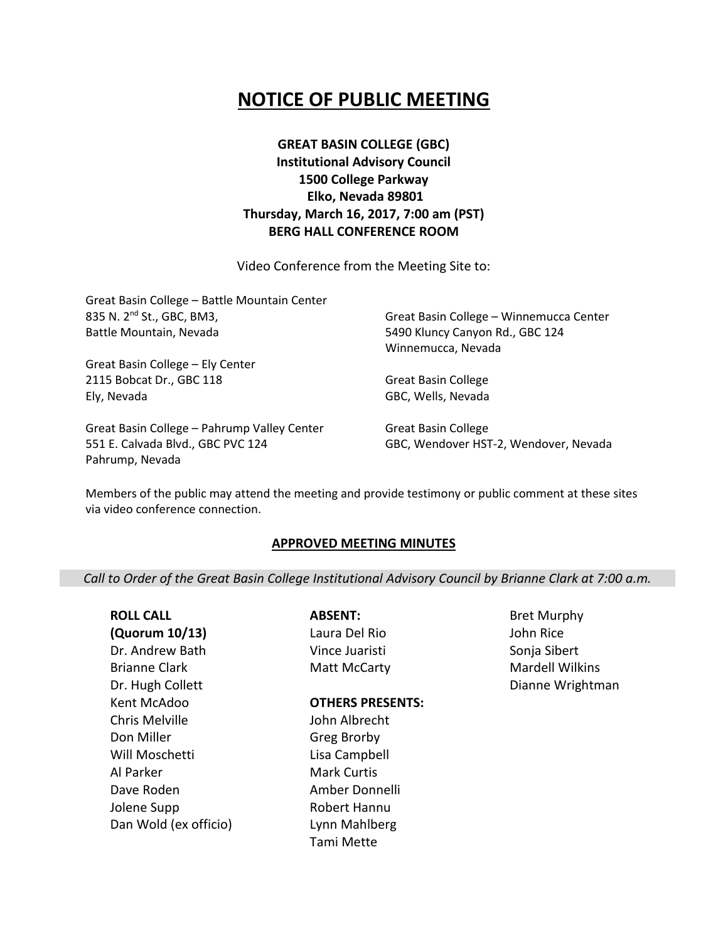# **NOTICE OF PUBLIC MEETING**

# **GREAT BASIN COLLEGE (GBC) Institutional Advisory Council 1500 College Parkway Elko, Nevada 89801 Thursday, March 16, 2017, 7:00 am (PST) BERG HALL CONFERENCE ROOM**

Video Conference from the Meeting Site to:

Great Basin College – Battle Mountain Center 835 N. 2nd St., GBC, BM3, Battle Mountain, Nevada

Great Basin College – Ely Center 2115 Bobcat Dr., GBC 118 Ely, Nevada

Great Basin College – Pahrump Valley Center 551 E. Calvada Blvd., GBC PVC 124 Pahrump, Nevada

Great Basin College – Winnemucca Center 5490 Kluncy Canyon Rd., GBC 124 Winnemucca, Nevada

Great Basin College GBC, Wells, Nevada

Great Basin College GBC, Wendover HST-2, Wendover, Nevada

Members of the public may attend the meeting and provide testimony or public comment at these sites via video conference connection.

### **APPROVED MEETING MINUTES**

*Call to Order of the Great Basin College Institutional Advisory Council by Brianne Clark at 7:00 a.m.*

| <b>ROLL CALL</b>      | <b>ABSENT:</b>          | <b>Bret Murphy</b>     |
|-----------------------|-------------------------|------------------------|
| (Quorum 10/13)        | Laura Del Rio           | John Rice              |
| Dr. Andrew Bath       | Vince Juaristi          | Sonja Sibert           |
| <b>Brianne Clark</b>  | Matt McCarty            | <b>Mardell Wilkins</b> |
| Dr. Hugh Collett      |                         | Dianne Wrightman       |
| Kent McAdoo           | <b>OTHERS PRESENTS:</b> |                        |
| Chris Melville        | John Albrecht           |                        |
| Don Miller            | Greg Brorby             |                        |
| Will Moschetti        | Lisa Campbell           |                        |
| Al Parker             | <b>Mark Curtis</b>      |                        |
| Dave Roden            | Amber Donnelli          |                        |
| Jolene Supp           | Robert Hannu            |                        |
| Dan Wold (ex officio) | Lynn Mahlberg           |                        |
|                       | Tami Mette              |                        |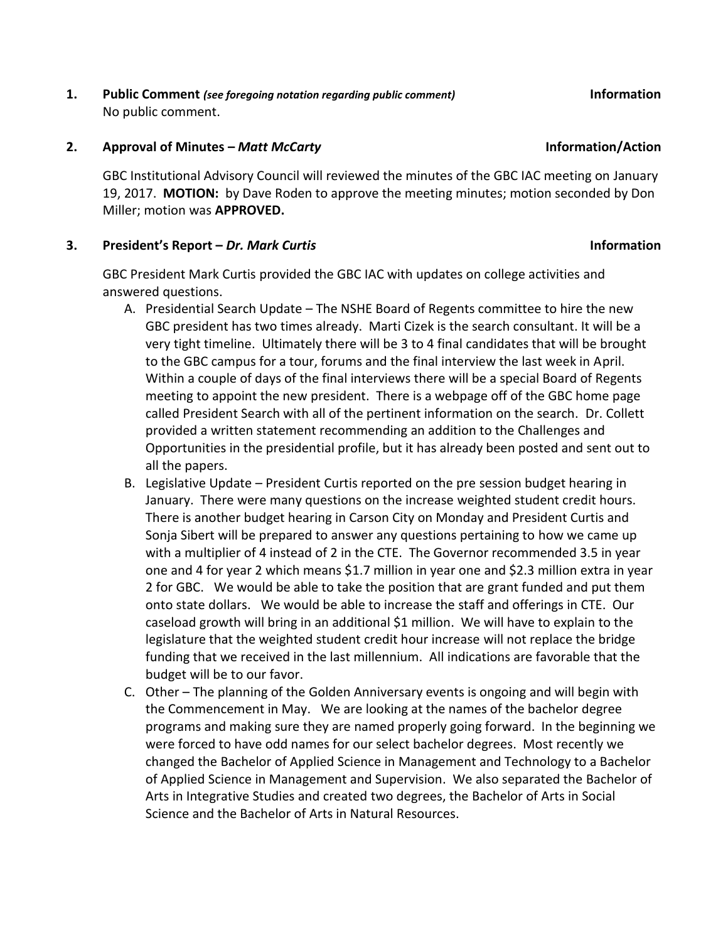**1. Public Comment** *(see foregoing notation regarding public comment)* **Information** No public comment.

### **2. Approval of Minutes –** *Matt McCarty* **Information/Action**

GBC Institutional Advisory Council will reviewed the minutes of the GBC IAC meeting on January 19, 2017. **MOTION:** by Dave Roden to approve the meeting minutes; motion seconded by Don Miller; motion was **APPROVED.**

### **3. President's Report –** *Dr. Mark Curtis* **Information**

GBC President Mark Curtis provided the GBC IAC with updates on college activities and answered questions.

- A. Presidential Search Update The NSHE Board of Regents committee to hire the new GBC president has two times already. Marti Cizek is the search consultant. It will be a very tight timeline. Ultimately there will be 3 to 4 final candidates that will be brought to the GBC campus for a tour, forums and the final interview the last week in April. Within a couple of days of the final interviews there will be a special Board of Regents meeting to appoint the new president. There is a webpage off of the GBC home page called President Search with all of the pertinent information on the search. Dr. Collett provided a written statement recommending an addition to the Challenges and Opportunities in the presidential profile, but it has already been posted and sent out to all the papers.
- B. Legislative Update President Curtis reported on the pre session budget hearing in January. There were many questions on the increase weighted student credit hours. There is another budget hearing in Carson City on Monday and President Curtis and Sonja Sibert will be prepared to answer any questions pertaining to how we came up with a multiplier of 4 instead of 2 in the CTE. The Governor recommended 3.5 in year one and 4 for year 2 which means \$1.7 million in year one and \$2.3 million extra in year 2 for GBC. We would be able to take the position that are grant funded and put them onto state dollars. We would be able to increase the staff and offerings in CTE. Our caseload growth will bring in an additional \$1 million. We will have to explain to the legislature that the weighted student credit hour increase will not replace the bridge funding that we received in the last millennium. All indications are favorable that the budget will be to our favor.
- C. Other The planning of the Golden Anniversary events is ongoing and will begin with the Commencement in May. We are looking at the names of the bachelor degree programs and making sure they are named properly going forward. In the beginning we were forced to have odd names for our select bachelor degrees. Most recently we changed the Bachelor of Applied Science in Management and Technology to a Bachelor of Applied Science in Management and Supervision. We also separated the Bachelor of Arts in Integrative Studies and created two degrees, the Bachelor of Arts in Social Science and the Bachelor of Arts in Natural Resources.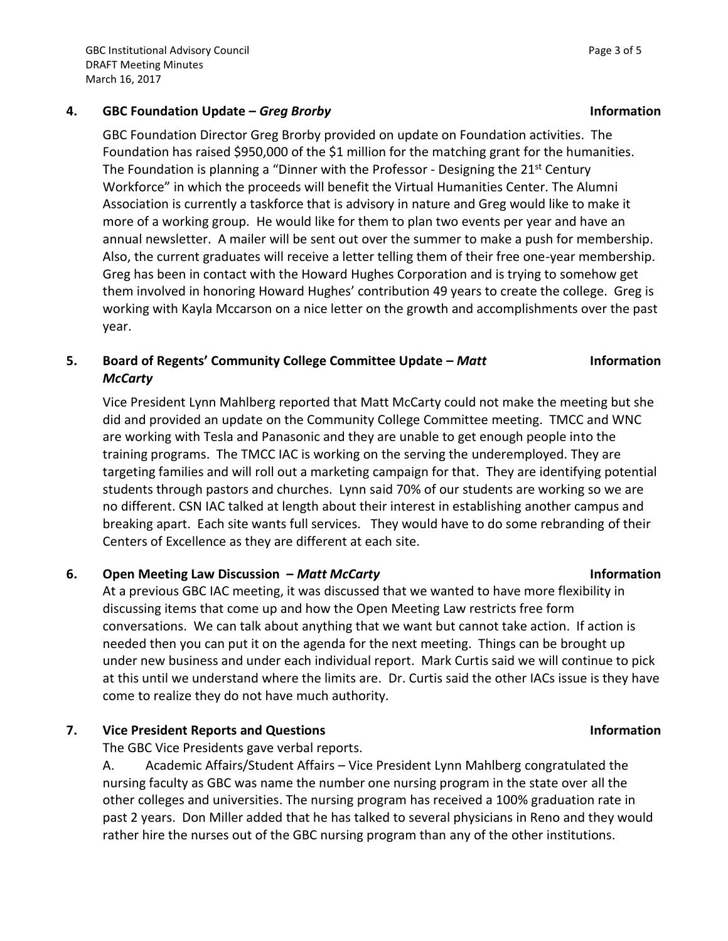### **4. GBC Foundation Update –** *Greg Brorby* **Information**

GBC Foundation Director Greg Brorby provided on update on Foundation activities. The Foundation has raised \$950,000 of the \$1 million for the matching grant for the humanities. The Foundation is planning a "Dinner with the Professor - Designing the  $21<sup>st</sup>$  Century Workforce" in which the proceeds will benefit the Virtual Humanities Center. The Alumni Association is currently a taskforce that is advisory in nature and Greg would like to make it more of a working group. He would like for them to plan two events per year and have an annual newsletter. A mailer will be sent out over the summer to make a push for membership. Also, the current graduates will receive a letter telling them of their free one-year membership. Greg has been in contact with the Howard Hughes Corporation and is trying to somehow get them involved in honoring Howard Hughes' contribution 49 years to create the college. Greg is working with Kayla Mccarson on a nice letter on the growth and accomplishments over the past year.

## **5. Board of Regents' Community College Committee Update –** *Matt McCarty*

Vice President Lynn Mahlberg reported that Matt McCarty could not make the meeting but she did and provided an update on the Community College Committee meeting. TMCC and WNC are working with Tesla and Panasonic and they are unable to get enough people into the training programs. The TMCC IAC is working on the serving the underemployed. They are targeting families and will roll out a marketing campaign for that. They are identifying potential students through pastors and churches. Lynn said 70% of our students are working so we are no different. CSN IAC talked at length about their interest in establishing another campus and breaking apart. Each site wants full services. They would have to do some rebranding of their Centers of Excellence as they are different at each site.

### **6. Open Meeting Law Discussion –** *Matt McCarty* **Information**

At a previous GBC IAC meeting, it was discussed that we wanted to have more flexibility in discussing items that come up and how the Open Meeting Law restricts free form conversations. We can talk about anything that we want but cannot take action. If action is needed then you can put it on the agenda for the next meeting. Things can be brought up under new business and under each individual report. Mark Curtis said we will continue to pick at this until we understand where the limits are. Dr. Curtis said the other IACs issue is they have come to realize they do not have much authority.

# **7. Vice President Reports and Questions Information**

The GBC Vice Presidents gave verbal reports.

A. Academic Affairs/Student Affairs – Vice President Lynn Mahlberg congratulated the nursing faculty as GBC was name the number one nursing program in the state over all the other colleges and universities. The nursing program has received a 100% graduation rate in past 2 years. Don Miller added that he has talked to several physicians in Reno and they would rather hire the nurses out of the GBC nursing program than any of the other institutions.

# **Information**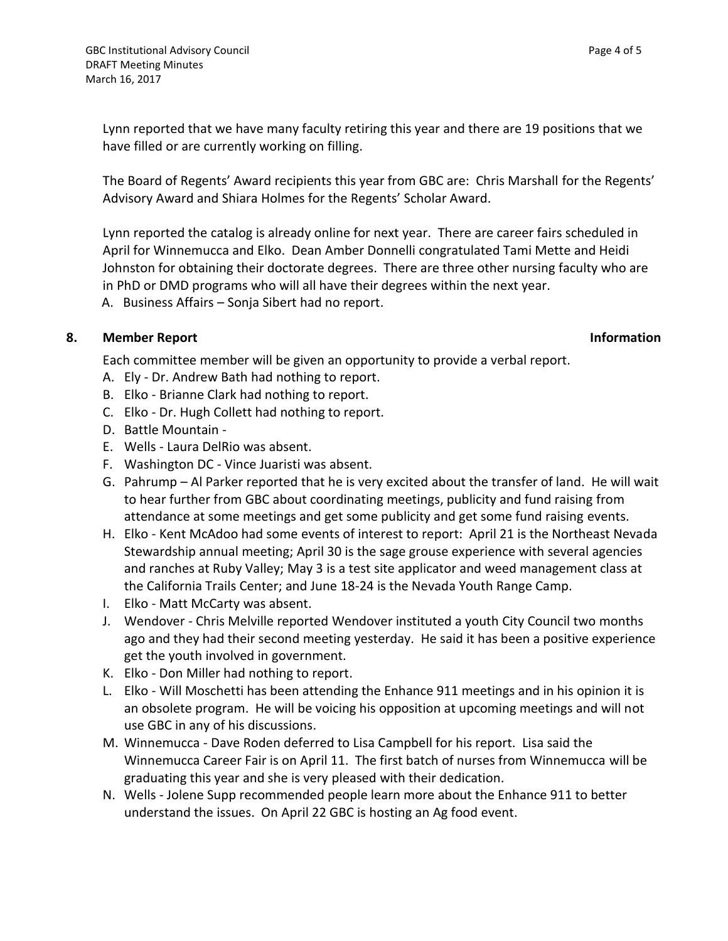Lynn reported that we have many faculty retiring this year and there are 19 positions that we have filled or are currently working on filling.

The Board of Regents' Award recipients this year from GBC are: Chris Marshall for the Regents' Advisory Award and Shiara Holmes for the Regents' Scholar Award.

Lynn reported the catalog is already online for next year. There are career fairs scheduled in April for Winnemucca and Elko. Dean Amber Donnelli congratulated Tami Mette and Heidi Johnston for obtaining their doctorate degrees. There are three other nursing faculty who are in PhD or DMD programs who will all have their degrees within the next year.

A. Business Affairs – Sonja Sibert had no report.

# **8. Member Report Information**

Each committee member will be given an opportunity to provide a verbal report.

- A. Ely Dr. Andrew Bath had nothing to report.
- B. Elko Brianne Clark had nothing to report.
- C. Elko Dr. Hugh Collett had nothing to report.
- D. Battle Mountain -
- E. Wells Laura DelRio was absent.
- F. Washington DC Vince Juaristi was absent.
- G. Pahrump Al Parker reported that he is very excited about the transfer of land. He will wait to hear further from GBC about coordinating meetings, publicity and fund raising from attendance at some meetings and get some publicity and get some fund raising events.
- H. Elko Kent McAdoo had some events of interest to report: April 21 is the Northeast Nevada Stewardship annual meeting; April 30 is the sage grouse experience with several agencies and ranches at Ruby Valley; May 3 is a test site applicator and weed management class at the California Trails Center; and June 18-24 is the Nevada Youth Range Camp.
- I. Elko Matt McCarty was absent.
- J. Wendover Chris Melville reported Wendover instituted a youth City Council two months ago and they had their second meeting yesterday. He said it has been a positive experience get the youth involved in government.
- K. Elko Don Miller had nothing to report.
- L. Elko Will Moschetti has been attending the Enhance 911 meetings and in his opinion it is an obsolete program. He will be voicing his opposition at upcoming meetings and will not use GBC in any of his discussions.
- M. Winnemucca Dave Roden deferred to Lisa Campbell for his report. Lisa said the Winnemucca Career Fair is on April 11. The first batch of nurses from Winnemucca will be graduating this year and she is very pleased with their dedication.
- N. Wells Jolene Supp recommended people learn more about the Enhance 911 to better understand the issues. On April 22 GBC is hosting an Ag food event.